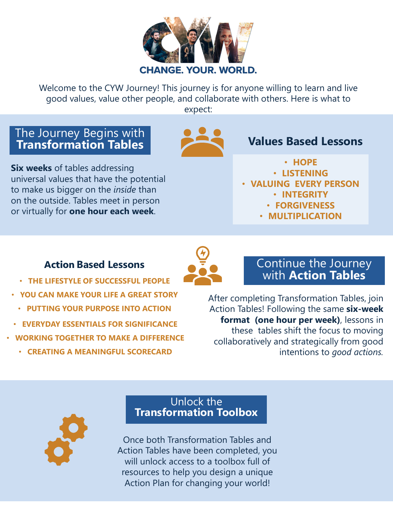

Welcome to the CYW Journey! This journey is for anyone willing to learn and live good values, value other people, and collaborate with others. Here is what to expect:

## The Journey Begins with **Transformation Tables**



**Six weeks** of tables addressing universal values that have the potential to make us bigger on the *inside* than on the outside. Tables meet in person or virtually for **one hour each week**.

# **Values Based Lessons**

- **HOPE**
- **LISTENING**
- **VALUING EVERY PERSON**
	- **INTEGRITY**
	- **FORGIVENESS**
	- **MULTIPLICATION**

# **Action Based Lessons**



- **YOU CAN MAKE YOUR LIFE A GREAT STORY**
	- **PUTTING YOUR PURPOSE INTO ACTION**
- **EVERYDAY ESSENTIALS FOR SIGNIFICANCE**
- **WORKING TOGETHER TO MAKE A DIFFERENCE**
	- **CREATING A MEANINGFUL SCORECARD**

Continue the Journey with **Action Tables**

After completing Transformation Tables, join Action Tables! Following the same **six-week format (one hour per week)**, lessons in these tables shift the focus to moving collaboratively and strategically from good intentions to *good actions.* 



#### Unlock the **Transformation Toolbox**

Once both Transformation Tables and Action Tables have been completed, you will unlock access to a toolbox full of resources to help you design a unique Action Plan for changing your world!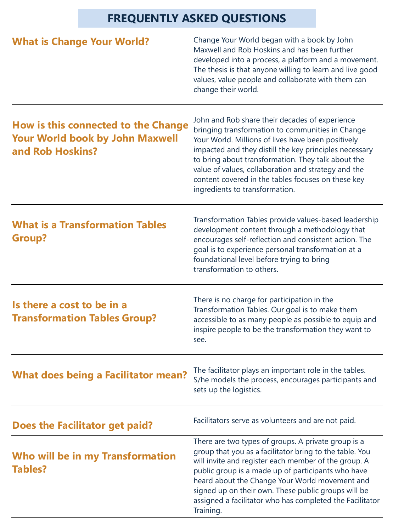# **FREQUENTLY ASKED QUESTIONS**

| <b>What is Change Your World?</b>                                                                 | Change Your World began with a book by John<br>Maxwell and Rob Hoskins and has been further<br>developed into a process, a platform and a movement.<br>The thesis is that anyone willing to learn and live good<br>values, value people and collaborate with them can<br>change their world.                                                                                                                            |
|---------------------------------------------------------------------------------------------------|-------------------------------------------------------------------------------------------------------------------------------------------------------------------------------------------------------------------------------------------------------------------------------------------------------------------------------------------------------------------------------------------------------------------------|
| How is this connected to the Change<br><b>Your World book by John Maxwell</b><br>and Rob Hoskins? | John and Rob share their decades of experience<br>bringing transformation to communities in Change<br>Your World. Millions of lives have been positively<br>impacted and they distill the key principles necessary<br>to bring about transformation. They talk about the<br>value of values, collaboration and strategy and the<br>content covered in the tables focuses on these key<br>ingredients to transformation. |
| <b>What is a Transformation Tables</b><br><b>Group?</b>                                           | Transformation Tables provide values-based leadership<br>development content through a methodology that<br>encourages self-reflection and consistent action. The<br>goal is to experience personal transformation at a<br>foundational level before trying to bring<br>transformation to others.                                                                                                                        |
| Is there a cost to be in a<br><b>Transformation Tables Group?</b>                                 | There is no charge for participation in the<br>Transformation Tables. Our goal is to make them<br>accessible to as many people as possible to equip and<br>inspire people to be the transformation they want to<br>see.                                                                                                                                                                                                 |
| <b>What does being a Facilitator mean?</b>                                                        | The facilitator plays an important role in the tables.<br>S/he models the process, encourages participants and<br>sets up the logistics.                                                                                                                                                                                                                                                                                |
| Does the Facilitator get paid?                                                                    | Facilitators serve as volunteers and are not paid.                                                                                                                                                                                                                                                                                                                                                                      |
| Who will be in my Transformation<br><b>Tables?</b>                                                | There are two types of groups. A private group is a<br>group that you as a facilitator bring to the table. You<br>will invite and register each member of the group. A<br>public group is a made up of participants who have<br>heard about the Change Your World movement and<br>signed up on their own. These public groups will be<br>assigned a facilitator who has completed the Facilitator<br>Training.          |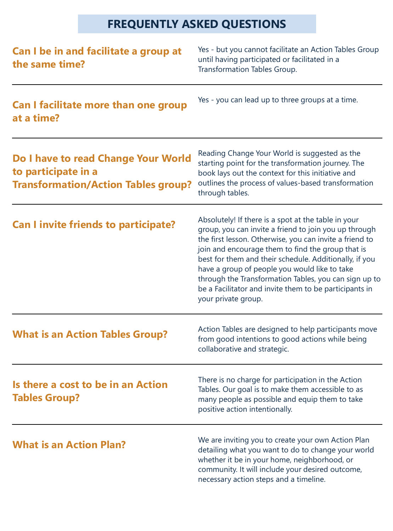# **FREQUENTLY ASKED QUESTIONS**

| Can I be in and facilitate a group at<br>the same time?                                                  | Yes - but you cannot facilitate an Action Tables Group<br>until having participated or facilitated in a<br>Transformation Tables Group.                                                                                                                                                                                                                                                                                                                                           |
|----------------------------------------------------------------------------------------------------------|-----------------------------------------------------------------------------------------------------------------------------------------------------------------------------------------------------------------------------------------------------------------------------------------------------------------------------------------------------------------------------------------------------------------------------------------------------------------------------------|
| <b>Can I facilitate more than one group</b><br>at a time?                                                | Yes - you can lead up to three groups at a time.                                                                                                                                                                                                                                                                                                                                                                                                                                  |
| Do I have to read Change Your World<br>to participate in a<br><b>Transformation/Action Tables group?</b> | Reading Change Your World is suggested as the<br>starting point for the transformation journey. The<br>book lays out the context for this initiative and<br>outlines the process of values-based transformation<br>through tables.                                                                                                                                                                                                                                                |
| <b>Can I invite friends to participate?</b>                                                              | Absolutely! If there is a spot at the table in your<br>group, you can invite a friend to join you up through<br>the first lesson. Otherwise, you can invite a friend to<br>join and encourage them to find the group that is<br>best for them and their schedule. Additionally, if you<br>have a group of people you would like to take<br>through the Transformation Tables, you can sign up to<br>be a Facilitator and invite them to be participants in<br>your private group. |
| <b>What is an Action Tables Group?</b>                                                                   | Action Tables are designed to help participants move<br>from good intentions to good actions while being<br>collaborative and strategic.                                                                                                                                                                                                                                                                                                                                          |
| Is there a cost to be in an Action<br><b>Tables Group?</b>                                               | There is no charge for participation in the Action<br>Tables. Our goal is to make them accessible to as<br>many people as possible and equip them to take<br>positive action intentionally.                                                                                                                                                                                                                                                                                       |
| <b>What is an Action Plan?</b>                                                                           | We are inviting you to create your own Action Plan<br>detailing what you want to do to change your world<br>whether it be in your home, neighborhood, or<br>community. It will include your desired outcome,<br>necessary action steps and a timeline.                                                                                                                                                                                                                            |